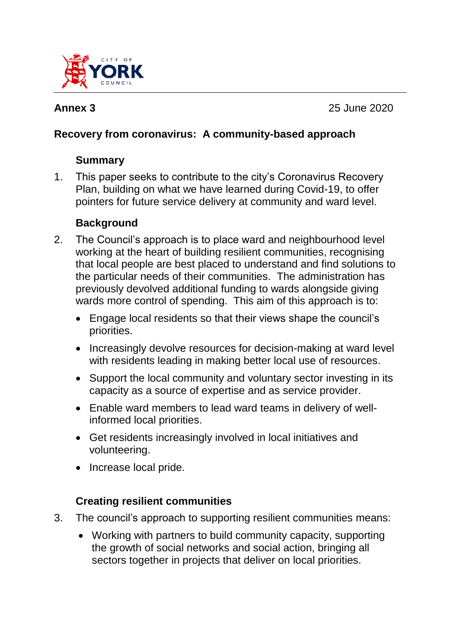

**Annex 3** 25 June 2020

# **Recovery from coronavirus: A community-based approach**

# **Summary**

1. This paper seeks to contribute to the city's Coronavirus Recovery Plan, building on what we have learned during Covid-19, to offer pointers for future service delivery at community and ward level.

# **Background**

- 2. The Council's approach is to place ward and neighbourhood level working at the heart of building resilient communities, recognising that local people are best placed to understand and find solutions to the particular needs of their communities. The administration has previously devolved additional funding to wards alongside giving wards more control of spending. This aim of this approach is to:
	- Engage local residents so that their views shape the council's priorities.
	- Increasingly devolve resources for decision-making at ward level with residents leading in making better local use of resources.
	- Support the local community and voluntary sector investing in its capacity as a source of expertise and as service provider.
	- Enable ward members to lead ward teams in delivery of wellinformed local priorities.
	- Get residents increasingly involved in local initiatives and volunteering.
	- Increase local pride.

# **Creating resilient communities**

- 3. The council's approach to supporting resilient communities means:
	- Working with partners to build community capacity, supporting the growth of social networks and social action, bringing all sectors together in projects that deliver on local priorities.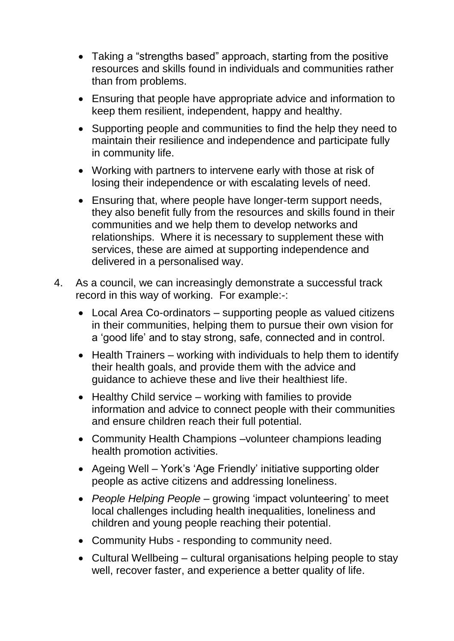- Taking a "strengths based" approach, starting from the positive resources and skills found in individuals and communities rather than from problems.
- Ensuring that people have appropriate advice and information to keep them resilient, independent, happy and healthy.
- Supporting people and communities to find the help they need to maintain their resilience and independence and participate fully in community life.
- Working with partners to intervene early with those at risk of losing their independence or with escalating levels of need.
- Ensuring that, where people have longer-term support needs, they also benefit fully from the resources and skills found in their communities and we help them to develop networks and relationships. Where it is necessary to supplement these with services, these are aimed at supporting independence and delivered in a personalised way.
- 4. As a council, we can increasingly demonstrate a successful track record in this way of working. For example:-:
	- Local Area Co-ordinators supporting people as valued citizens in their communities, helping them to pursue their own vision for a 'good life' and to stay strong, safe, connected and in control.
	- Health Trainers working with individuals to help them to identify their health goals, and provide them with the advice and guidance to achieve these and live their healthiest life.
	- Healthy Child service working with families to provide information and advice to connect people with their communities and ensure children reach their full potential.
	- Community Health Champions –volunteer champions leading health promotion activities.
	- Ageing Well York's 'Age Friendly' initiative supporting older people as active citizens and addressing loneliness.
	- *People Helping People* growing 'impact volunteering' to meet local challenges including health inequalities, loneliness and children and young people reaching their potential.
	- Community Hubs responding to community need.
	- Cultural Wellbeing cultural organisations helping people to stay well, recover faster, and experience a better quality of life.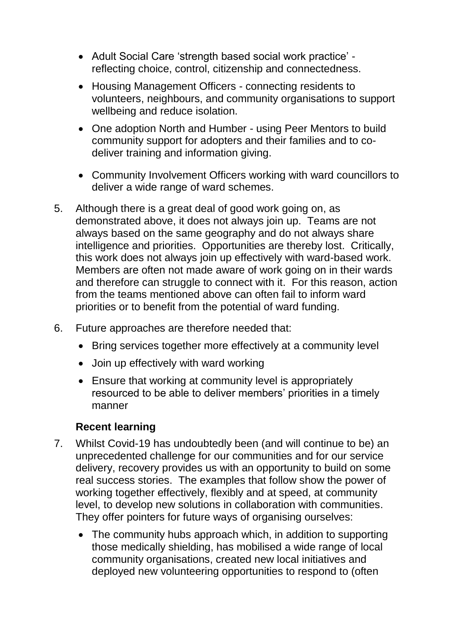- Adult Social Care 'strength based social work practice' reflecting choice, control, citizenship and connectedness.
- Housing Management Officers connecting residents to volunteers, neighbours, and community organisations to support wellbeing and reduce isolation.
- One adoption North and Humber using Peer Mentors to build community support for adopters and their families and to codeliver training and information giving.
- Community Involvement Officers working with ward councillors to deliver a wide range of ward schemes.
- 5. Although there is a great deal of good work going on, as demonstrated above, it does not always join up. Teams are not always based on the same geography and do not always share intelligence and priorities. Opportunities are thereby lost. Critically, this work does not always join up effectively with ward-based work. Members are often not made aware of work going on in their wards and therefore can struggle to connect with it. For this reason, action from the teams mentioned above can often fail to inform ward priorities or to benefit from the potential of ward funding.
- 6. Future approaches are therefore needed that:
	- Bring services together more effectively at a community level
	- Join up effectively with ward working
	- Ensure that working at community level is appropriately resourced to be able to deliver members' priorities in a timely manner

## **Recent learning**

- 7. Whilst Covid-19 has undoubtedly been (and will continue to be) an unprecedented challenge for our communities and for our service delivery, recovery provides us with an opportunity to build on some real success stories. The examples that follow show the power of working together effectively, flexibly and at speed, at community level, to develop new solutions in collaboration with communities. They offer pointers for future ways of organising ourselves:
	- The community hubs approach which, in addition to supporting those medically shielding, has mobilised a wide range of local community organisations, created new local initiatives and deployed new volunteering opportunities to respond to (often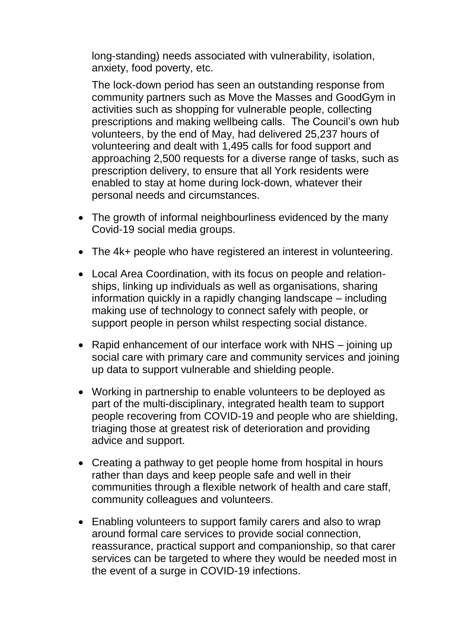long-standing) needs associated with vulnerability, isolation, anxiety, food poverty, etc.

The lock-down period has seen an outstanding response from community partners such as Move the Masses and GoodGym in activities such as shopping for vulnerable people, collecting prescriptions and making wellbeing calls. The Council's own hub volunteers, by the end of May, had delivered 25,237 hours of volunteering and dealt with 1,495 calls for food support and approaching 2,500 requests for a diverse range of tasks, such as prescription delivery, to ensure that all York residents were enabled to stay at home during lock-down, whatever their personal needs and circumstances.

- The growth of informal neighbourliness evidenced by the many Covid-19 social media groups.
- The 4k+ people who have registered an interest in volunteering.
- Local Area Coordination, with its focus on people and relationships, linking up individuals as well as organisations, sharing information quickly in a rapidly changing landscape – including making use of technology to connect safely with people, or support people in person whilst respecting social distance.
- Rapid enhancement of our interface work with NHS joining up social care with primary care and community services and joining up data to support vulnerable and shielding people.
- Working in partnership to enable volunteers to be deployed as part of the multi-disciplinary, integrated health team to support people recovering from COVID-19 and people who are shielding, triaging those at greatest risk of deterioration and providing advice and support.
- Creating a pathway to get people home from hospital in hours rather than days and keep people safe and well in their communities through a flexible network of health and care staff, community colleagues and volunteers.
- Enabling volunteers to support family carers and also to wrap around formal care services to provide social connection, reassurance, practical support and companionship, so that carer services can be targeted to where they would be needed most in the event of a surge in COVID-19 infections.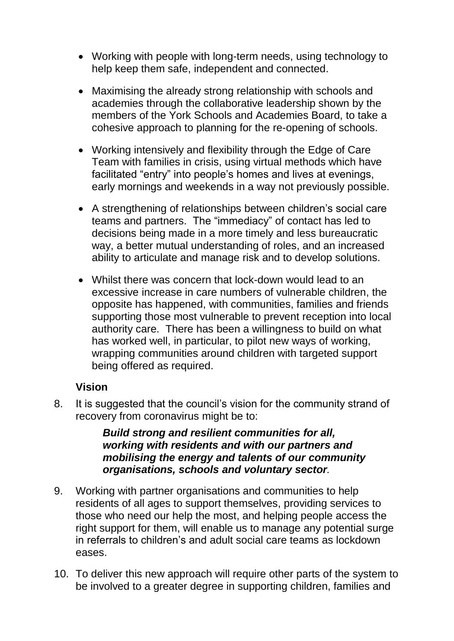- Working with people with long-term needs, using technology to help keep them safe, independent and connected.
- Maximising the already strong relationship with schools and academies through the collaborative leadership shown by the members of the York Schools and Academies Board, to take a cohesive approach to planning for the re-opening of schools.
- Working intensively and flexibility through the Edge of Care Team with families in crisis, using virtual methods which have facilitated "entry" into people's homes and lives at evenings, early mornings and weekends in a way not previously possible.
- A strengthening of relationships between children's social care teams and partners. The "immediacy" of contact has led to decisions being made in a more timely and less bureaucratic way, a better mutual understanding of roles, and an increased ability to articulate and manage risk and to develop solutions.
- Whilst there was concern that lock-down would lead to an excessive increase in care numbers of vulnerable children, the opposite has happened, with communities, families and friends supporting those most vulnerable to prevent reception into local authority care. There has been a willingness to build on what has worked well, in particular, to pilot new ways of working, wrapping communities around children with targeted support being offered as required.

### **Vision**

8. It is suggested that the council's vision for the community strand of recovery from coronavirus might be to:

> *Build strong and resilient communities for all, working with residents and with our partners and mobilising the energy and talents of our community organisations, schools and voluntary sector.*

- 9. Working with partner organisations and communities to help residents of all ages to support themselves, providing services to those who need our help the most, and helping people access the right support for them, will enable us to manage any potential surge in referrals to children's and adult social care teams as lockdown eases.
- 10. To deliver this new approach will require other parts of the system to be involved to a greater degree in supporting children, families and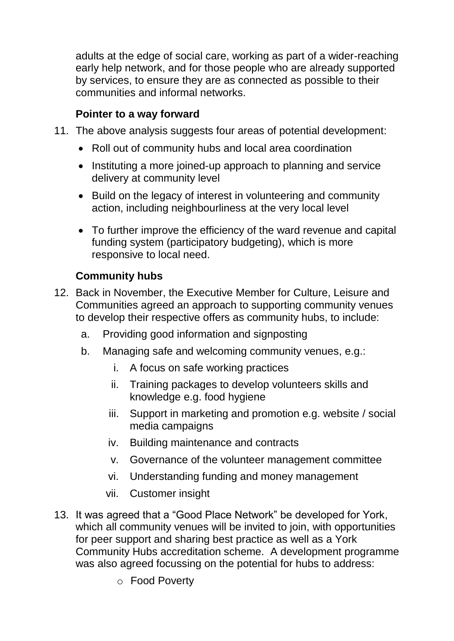adults at the edge of social care, working as part of a wider-reaching early help network, and for those people who are already supported by services, to ensure they are as connected as possible to their communities and informal networks.

## **Pointer to a way forward**

- 11. The above analysis suggests four areas of potential development:
	- Roll out of community hubs and local area coordination
	- Instituting a more joined-up approach to planning and service delivery at community level
	- Build on the legacy of interest in volunteering and community action, including neighbourliness at the very local level
	- To further improve the efficiency of the ward revenue and capital funding system (participatory budgeting), which is more responsive to local need.

## **Community hubs**

- 12. Back in November, the Executive Member for Culture, Leisure and Communities agreed an approach to supporting community venues to develop their respective offers as community hubs, to include:
	- a. Providing good information and signposting
	- b. Managing safe and welcoming community venues, e.g.:
		- i. A focus on safe working practices
		- ii. Training packages to develop volunteers skills and knowledge e.g. food hygiene
		- iii. Support in marketing and promotion e.g. website / social media campaigns
		- iv. Building maintenance and contracts
		- v. Governance of the volunteer management committee
		- vi. Understanding funding and money management
		- vii. Customer insight
- 13. It was agreed that a "Good Place Network" be developed for York, which all community venues will be invited to join, with opportunities for peer support and sharing best practice as well as a York Community Hubs accreditation scheme. A development programme was also agreed focussing on the potential for hubs to address:
	- o Food Poverty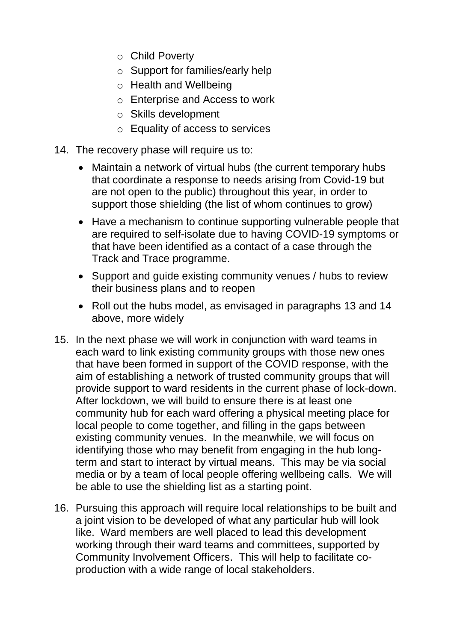- o Child Poverty
- o Support for families/early help
- o Health and Wellbeing
- o Enterprise and Access to work
- o Skills development
- o Equality of access to services
- 14. The recovery phase will require us to:
	- Maintain a network of virtual hubs (the current temporary hubs that coordinate a response to needs arising from Covid-19 but are not open to the public) throughout this year, in order to support those shielding (the list of whom continues to grow)
	- Have a mechanism to continue supporting vulnerable people that are required to self-isolate due to having COVID-19 symptoms or that have been identified as a contact of a case through the Track and Trace programme.
	- Support and guide existing community venues / hubs to review their business plans and to reopen
	- Roll out the hubs model, as envisaged in paragraphs 13 and 14 above, more widely
- 15. In the next phase we will work in conjunction with ward teams in each ward to link existing community groups with those new ones that have been formed in support of the COVID response, with the aim of establishing a network of trusted community groups that will provide support to ward residents in the current phase of lock-down. After lockdown, we will build to ensure there is at least one community hub for each ward offering a physical meeting place for local people to come together, and filling in the gaps between existing community venues. In the meanwhile, we will focus on identifying those who may benefit from engaging in the hub longterm and start to interact by virtual means. This may be via social media or by a team of local people offering wellbeing calls. We will be able to use the shielding list as a starting point.
- 16. Pursuing this approach will require local relationships to be built and a joint vision to be developed of what any particular hub will look like. Ward members are well placed to lead this development working through their ward teams and committees, supported by Community Involvement Officers. This will help to facilitate coproduction with a wide range of local stakeholders.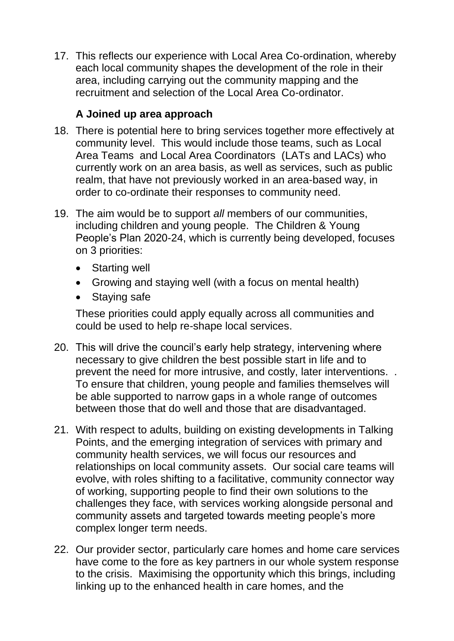17. This reflects our experience with Local Area Co-ordination, whereby each local community shapes the development of the role in their area, including carrying out the community mapping and the recruitment and selection of the Local Area Co-ordinator.

## **A Joined up area approach**

- 18. There is potential here to bring services together more effectively at community level. This would include those teams, such as Local Area Teams and Local Area Coordinators (LATs and LACs) who currently work on an area basis, as well as services, such as public realm, that have not previously worked in an area-based way, in order to co-ordinate their responses to community need.
- 19. The aim would be to support *all* members of our communities, including children and young people. The Children & Young People's Plan 2020-24, which is currently being developed, focuses on 3 priorities:
	- Starting well
	- Growing and staying well (with a focus on mental health)
	- Staying safe

These priorities could apply equally across all communities and could be used to help re-shape local services.

- 20. This will drive the council's early help strategy, intervening where necessary to give children the best possible start in life and to prevent the need for more intrusive, and costly, later interventions. . To ensure that children, young people and families themselves will be able supported to narrow gaps in a whole range of outcomes between those that do well and those that are disadvantaged.
- 21. With respect to adults, building on existing developments in Talking Points, and the emerging integration of services with primary and community health services, we will focus our resources and relationships on local community assets. Our social care teams will evolve, with roles shifting to a facilitative, community connector way of working, supporting people to find their own solutions to the challenges they face, with services working alongside personal and community assets and targeted towards meeting people's more complex longer term needs.
- 22. Our provider sector, particularly care homes and home care services have come to the fore as key partners in our whole system response to the crisis. Maximising the opportunity which this brings, including linking up to the enhanced health in care homes, and the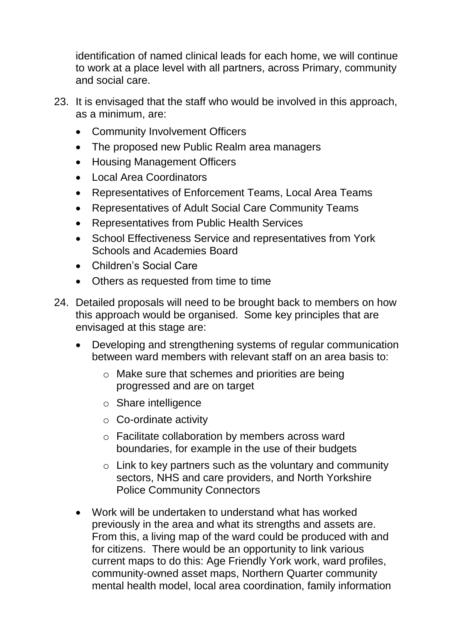identification of named clinical leads for each home, we will continue to work at a place level with all partners, across Primary, community and social care.

- 23. It is envisaged that the staff who would be involved in this approach, as a minimum, are:
	- Community Involvement Officers
	- The proposed new Public Realm area managers
	- Housing Management Officers
	- Local Area Coordinators
	- Representatives of Enforcement Teams, Local Area Teams
	- Representatives of Adult Social Care Community Teams
	- Representatives from Public Health Services
	- School Effectiveness Service and representatives from York Schools and Academies Board
	- Children's Social Care
	- Others as requested from time to time
- 24. Detailed proposals will need to be brought back to members on how this approach would be organised. Some key principles that are envisaged at this stage are:
	- Developing and strengthening systems of regular communication between ward members with relevant staff on an area basis to:
		- o Make sure that schemes and priorities are being progressed and are on target
		- o Share intelligence
		- o Co-ordinate activity
		- o Facilitate collaboration by members across ward boundaries, for example in the use of their budgets
		- $\circ$  Link to key partners such as the voluntary and community sectors, NHS and care providers, and North Yorkshire Police Community Connectors
	- Work will be undertaken to understand what has worked previously in the area and what its strengths and assets are. From this, a living map of the ward could be produced with and for citizens. There would be an opportunity to link various current maps to do this: Age Friendly York work, ward profiles, community-owned asset maps, Northern Quarter community mental health model, local area coordination, family information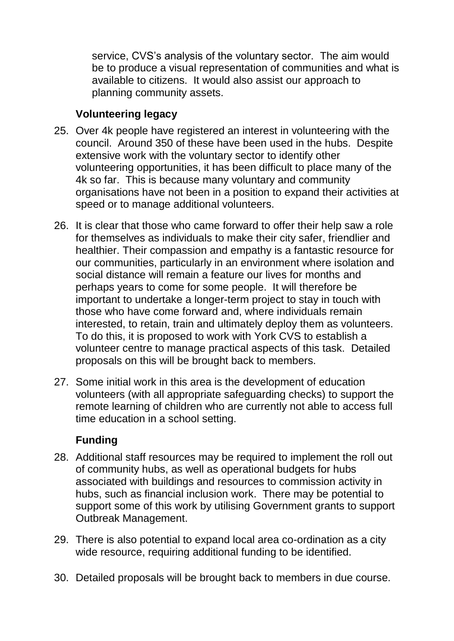service, CVS's analysis of the voluntary sector. The aim would be to produce a visual representation of communities and what is available to citizens. It would also assist our approach to planning community assets.

## **Volunteering legacy**

- 25. Over 4k people have registered an interest in volunteering with the council. Around 350 of these have been used in the hubs. Despite extensive work with the voluntary sector to identify other volunteering opportunities, it has been difficult to place many of the 4k so far. This is because many voluntary and community organisations have not been in a position to expand their activities at speed or to manage additional volunteers.
- 26. It is clear that those who came forward to offer their help saw a role for themselves as individuals to make their city safer, friendlier and healthier. Their compassion and empathy is a fantastic resource for our communities, particularly in an environment where isolation and social distance will remain a feature our lives for months and perhaps years to come for some people. It will therefore be important to undertake a longer-term project to stay in touch with those who have come forward and, where individuals remain interested, to retain, train and ultimately deploy them as volunteers. To do this, it is proposed to work with York CVS to establish a volunteer centre to manage practical aspects of this task. Detailed proposals on this will be brought back to members.
- 27. Some initial work in this area is the development of education volunteers (with all appropriate safeguarding checks) to support the remote learning of children who are currently not able to access full time education in a school setting.

# **Funding**

- 28. Additional staff resources may be required to implement the roll out of community hubs, as well as operational budgets for hubs associated with buildings and resources to commission activity in hubs, such as financial inclusion work. There may be potential to support some of this work by utilising Government grants to support Outbreak Management.
- 29. There is also potential to expand local area co-ordination as a city wide resource, requiring additional funding to be identified.
- 30. Detailed proposals will be brought back to members in due course.